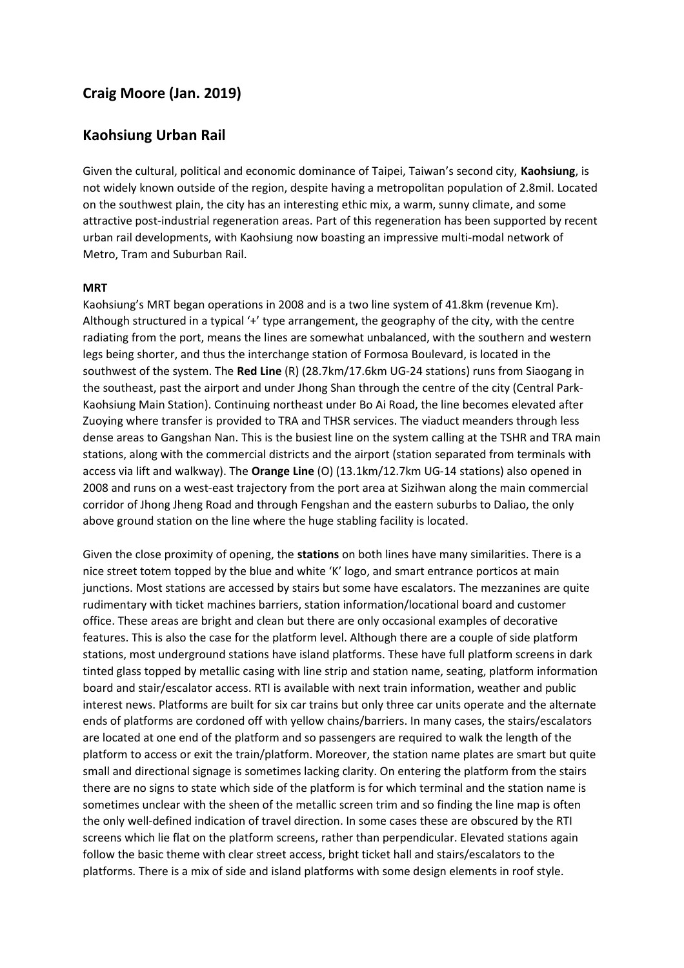## **Craig Moore (Jan. 2019)**

## **Kaohsiung Urban Rail**

Given the cultural, political and economic dominance of Taipei, Taiwan's second city, **Kaohsiung**, is not widely known outside of the region, despite having a metropolitan population of 2.8mil. Located on the southwest plain, the city has an interesting ethic mix, a warm, sunny climate, and some attractive post-industrial regeneration areas. Part of this regeneration has been supported by recent urban rail developments, with Kaohsiung now boasting an impressive multi-modal network of Metro, Tram and Suburban Rail.

## **MRT**

Kaohsiung's MRT began operations in 2008 and is a two line system of 41.8km (revenue Km). Although structured in a typical '+' type arrangement, the geography of the city, with the centre radiating from the port, means the lines are somewhat unbalanced, with the southern and western legs being shorter, and thus the interchange station of Formosa Boulevard, is located in the southwest of the system. The **Red Line** (R) (28.7km/17.6km UG-24 stations) runs from Siaogang in the southeast, past the airport and under Jhong Shan through the centre of the city (Central Park-Kaohsiung Main Station). Continuing northeast under Bo Ai Road, the line becomes elevated after Zuoying where transfer is provided to TRA and THSR services. The viaduct meanders through less dense areas to Gangshan Nan. This is the busiest line on the system calling at the TSHR and TRA main stations, along with the commercial districts and the airport (station separated from terminals with access via lift and walkway). The **Orange Line** (O) (13.1km/12.7km UG-14 stations) also opened in 2008 and runs on a west-east trajectory from the port area at Sizihwan along the main commercial corridor of Jhong Jheng Road and through Fengshan and the eastern suburbs to Daliao, the only above ground station on the line where the huge stabling facility is located.

Given the close proximity of opening, the **stations** on both lines have many similarities. There is a nice street totem topped by the blue and white 'K' logo, and smart entrance porticos at main junctions. Most stations are accessed by stairs but some have escalators. The mezzanines are quite rudimentary with ticket machines barriers, station information/locational board and customer office. These areas are bright and clean but there are only occasional examples of decorative features. This is also the case for the platform level. Although there are a couple of side platform stations, most underground stations have island platforms. These have full platform screens in dark tinted glass topped by metallic casing with line strip and station name, seating, platform information board and stair/escalator access. RTI is available with next train information, weather and public interest news. Platforms are built for six car trains but only three car units operate and the alternate ends of platforms are cordoned off with yellow chains/barriers. In many cases, the stairs/escalators are located at one end of the platform and so passengers are required to walk the length of the platform to access or exit the train/platform. Moreover, the station name plates are smart but quite small and directional signage is sometimes lacking clarity. On entering the platform from the stairs there are no signs to state which side of the platform is for which terminal and the station name is sometimes unclear with the sheen of the metallic screen trim and so finding the line map is often the only well-defined indication of travel direction. In some cases these are obscured by the RTI screens which lie flat on the platform screens, rather than perpendicular. Elevated stations again follow the basic theme with clear street access, bright ticket hall and stairs/escalators to the platforms. There is a mix of side and island platforms with some design elements in roof style.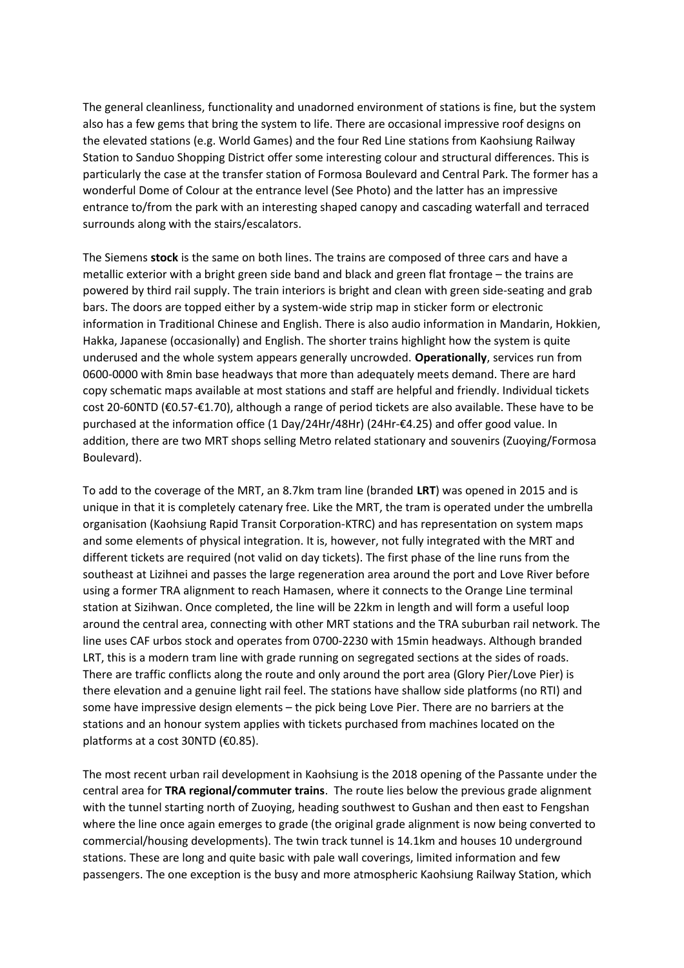The general cleanliness, functionality and unadorned environment of stations is fine, but the system also has a few gems that bring the system to life. There are occasional impressive roof designs on the elevated stations (e.g. World Games) and the four Red Line stations from Kaohsiung Railway Station to Sanduo Shopping District offer some interesting colour and structural differences. This is particularly the case at the transfer station of Formosa Boulevard and Central Park. The former has a wonderful Dome of Colour at the entrance level (See Photo) and the latter has an impressive entrance to/from the park with an interesting shaped canopy and cascading waterfall and terraced surrounds along with the stairs/escalators.

The Siemens **stock** is the same on both lines. The trains are composed of three cars and have a metallic exterior with a bright green side band and black and green flat frontage – the trains are powered by third rail supply. The train interiors is bright and clean with green side-seating and grab bars. The doors are topped either by a system-wide strip map in sticker form or electronic information in Traditional Chinese and English. There is also audio information in Mandarin, Hokkien, Hakka, Japanese (occasionally) and English. The shorter trains highlight how the system is quite underused and the whole system appears generally uncrowded. **Operationally**, services run from 0600-0000 with 8min base headways that more than adequately meets demand. There are hard copy schematic maps available at most stations and staff are helpful and friendly. Individual tickets cost 20-60NTD (€0.57-€1.70), although a range of period tickets are also available. These have to be purchased at the information office (1 Day/24Hr/48Hr) (24Hr-€4.25) and offer good value. In addition, there are two MRT shops selling Metro related stationary and souvenirs (Zuoying/Formosa Boulevard).

To add to the coverage of the MRT, an 8.7km tram line (branded **LRT**) was opened in 2015 and is unique in that it is completely catenary free. Like the MRT, the tram is operated under the umbrella organisation (Kaohsiung Rapid Transit Corporation-KTRC) and has representation on system maps and some elements of physical integration. It is, however, not fully integrated with the MRT and different tickets are required (not valid on day tickets). The first phase of the line runs from the southeast at Lizihnei and passes the large regeneration area around the port and Love River before using a former TRA alignment to reach Hamasen, where it connects to the Orange Line terminal station at Sizihwan. Once completed, the line will be 22km in length and will form a useful loop around the central area, connecting with other MRT stations and the TRA suburban rail network. The line uses CAF urbos stock and operates from 0700-2230 with 15min headways. Although branded LRT, this is a modern tram line with grade running on segregated sections at the sides of roads. There are traffic conflicts along the route and only around the port area (Glory Pier/Love Pier) is there elevation and a genuine light rail feel. The stations have shallow side platforms (no RTI) and some have impressive design elements – the pick being Love Pier. There are no barriers at the stations and an honour system applies with tickets purchased from machines located on the platforms at a cost 30NTD (€0.85).

The most recent urban rail development in Kaohsiung is the 2018 opening of the Passante under the central area for **TRA regional/commuter trains**. The route lies below the previous grade alignment with the tunnel starting north of Zuoying, heading southwest to Gushan and then east to Fengshan where the line once again emerges to grade (the original grade alignment is now being converted to commercial/housing developments). The twin track tunnel is 14.1km and houses 10 underground stations. These are long and quite basic with pale wall coverings, limited information and few passengers. The one exception is the busy and more atmospheric Kaohsiung Railway Station, which